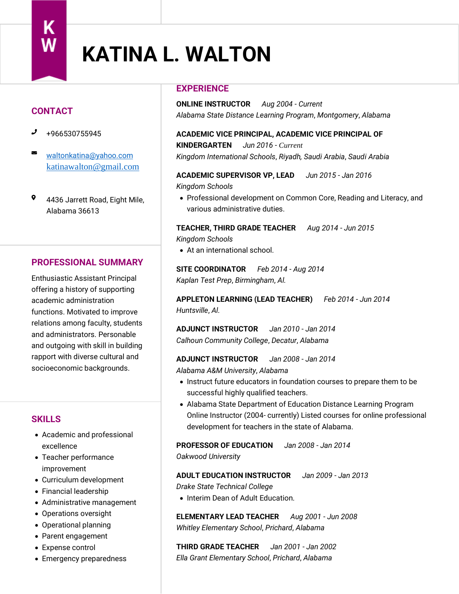# **KATINA L. WALTON**

# **CONTACT**

- +966530755945
- $\sum$ [waltonkatina@yahoo.com](mailto:waltonkatina@yahoo.com) [katinawalton@gmail.com](mailto:katinawalton@gmail.com)
- $\bullet$ 4436 Jarrett Road, Eight Mile, Alabama 36613

## **PROFESSIONAL SUMMARY**

Enthusiastic Assistant Principal offering a history of supporting academic administration functions. Motivated to improve relations among faculty, students and administrators. Personable and outgoing with skill in building rapport with diverse cultural and socioeconomic backgrounds.

## **SKILLS**

- Academic and professional excellence
- Teacher performance improvement
- Curriculum development
- Financial leadership
- Administrative management
- Operations oversight
- Operational planning
- Parent engagement
- Expense control
- Emergency preparedness

## **EXPERIENCE**

**ONLINE INSTRUCTOR** *Aug 2004* ‐ *Current Alabama State Distance Learning Program*, *Montgomery*, *Alabama*

# **ACADEMIC VICE PRINCIPAL, ACADEMIC VICE PRINCIPAL OF KINDERGARTEN** *Jun 2016* ‐ *Current*

*Kingdom International Schools*, *Riyadh, Saudi Arabia*, *Saudi Arabia*

# **ACADEMIC SUPERVISOR VP, LEAD** *Jun 2015* ‐ *Jan 2016*

*Kingdom Schools*

• Professional development on Common Core, Reading and Literacy, and various administrative duties.

**TEACHER, THIRD GRADE TEACHER** *Aug 2014* ‐ *Jun 2015 Kingdom Schools*

• At an international school.

**SITE COORDINATOR** *Feb 2014* ‐ *Aug 2014 Kaplan Test Prep*, *Birmingham*, *Al.*

**APPLETON LEARNING (LEAD TEACHER)** *Feb 2014* ‐ *Jun 2014 Huntsville*, *Al.*

**ADJUNCT INSTRUCTOR** *Jan 2010* ‐ *Jan 2014 Calhoun Community College*, *Decatur*, *Alabama*

**ADJUNCT INSTRUCTOR** *Jan 2008* ‐ *Jan 2014*

*Alabama A&M University*, *Alabama*

- Instruct future educators in foundation courses to prepare them to be successful highly qualified teachers.
- Alabama State Department of Education Distance Learning Program Online Instructor (2004- currently) Listed courses for online professional development for teachers in the state of Alabama.

#### **PROFESSOR OF EDUCATION** *Jan 2008* ‐ *Jan 2014*

*Oakwood University*

#### **ADULT EDUCATION INSTRUCTOR** *Jan 2009* ‐ *Jan 2013*

*Drake State Technical College*

• Interim Dean of Adult Education.

**ELEMENTARY LEAD TEACHER** *Aug 2001* ‐ *Jun 2008 Whitley Elementary School*, *Prichard*, *Alabama*

**THIRD GRADE TEACHER** *Jan 2001* ‐ *Jan 2002 Ella Grant Elementary School*, *Prichard*, *Alabama*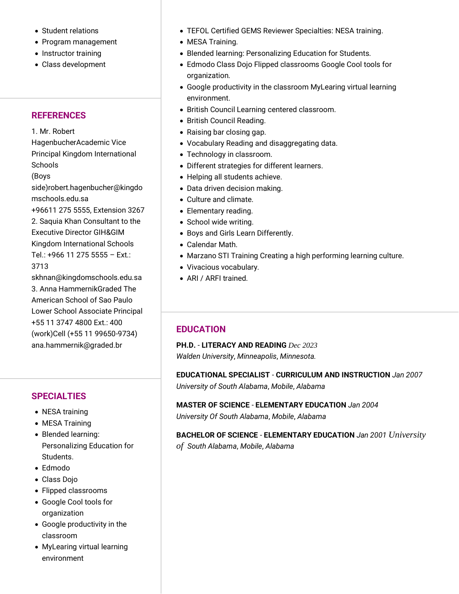- Student relations
- Program management
- Instructor training
- Class development

## **REFERENCES**

1. Mr. Robert HagenbucherAcademic Vice Principal Kingdom International **Schools** (Boys side)robert.hagenbucher@kingdo mschools.edu.sa +96611 275 5555, Extension 3267 2. Saquia Khan Consultant to the Executive Director GIH&GIM Kingdom International Schools Tel.: +966 11 275 5555 – Ext.: 3713 skhnan@kingdomschools.edu.sa 3. Anna HammernikGraded The

American School of Sao Paulo Lower School Associate Principal +55 11 3747 4800 Ext.: 400 (work)Cell (+55 11 99650-9734) ana.hammernik@graded.br

## **SPECIALTIES**

- NESA training
- MESA Training
- Blended learning: Personalizing Education for Students.
- Edmodo
- Class Dojo
- Flipped classrooms
- Google Cool tools for organization
- Google productivity in the classroom
- MyLearing virtual learning environment
- TEFOL Certified GEMS Reviewer Specialties: NESA training.
- MESA Training.
- Blended learning: Personalizing Education for Students.
- Edmodo Class Dojo Flipped classrooms Google Cool tools for organization.
- Google productivity in the classroom MyLearing virtual learning environment.
- British Council Learning centered classroom.
- British Council Reading.
- Raising bar closing gap.
- Vocabulary Reading and disaggregating data.
- Technology in classroom.
- Different strategies for different learners.
- Helping all students achieve.
- Data driven decision making.
- Culture and climate.
- Elementary reading.
- School wide writing.
- Boys and Girls Learn Differently.
- Calendar Math.
- Marzano STI Training Creating a high performing learning culture.
- Vivacious vocabulary.
- ARI / ARFI trained.

## **EDUCATION**

**PH.D.** - **LITERACY AND READING** *Dec 2023 Walden University*, *Minneapolis*, *Minnesota.*

**EDUCATIONAL SPECIALIST** - **CURRICULUM AND INSTRUCTION** *Jan 2007 University of South Alabama*, *Mobile*, *Alabama*

## **MASTER OF SCIENCE** - **ELEMENTARY EDUCATION** *Jan 2004*

*University Of South Alabama*, *Mobile*, *Alabama*

**BACHELOR OF SCIENCE** - **ELEMENTARY EDUCATION** *Jan 2001 University of South Alabama*, *Mobile*, *Alabama*